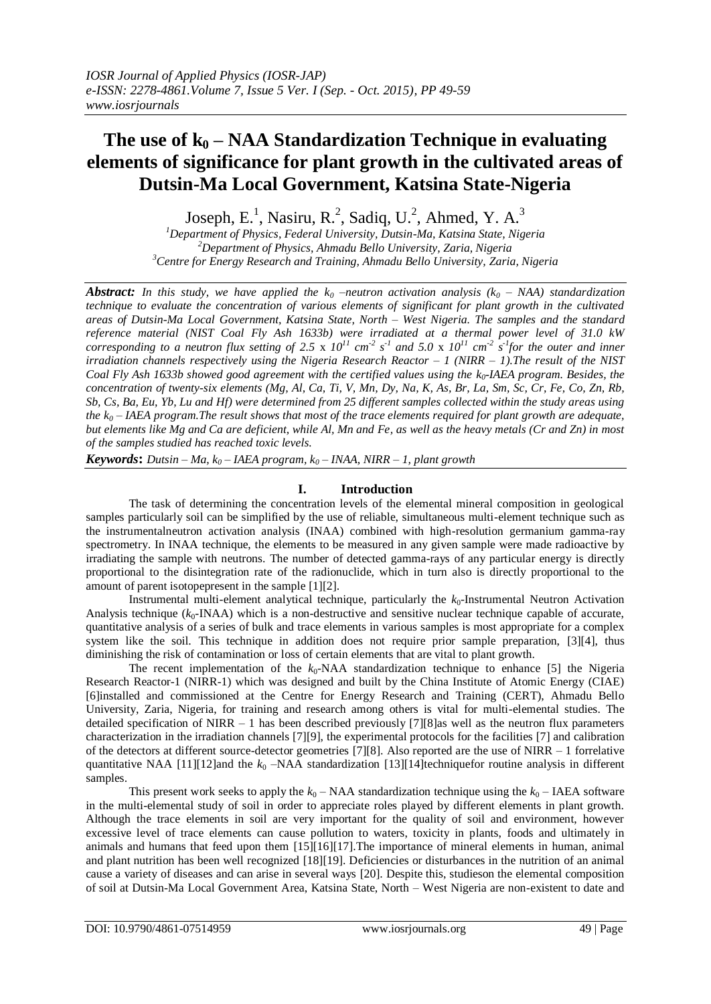# **The use of k<sup>0</sup> – NAA Standardization Technique in evaluating elements of significance for plant growth in the cultivated areas of Dutsin-Ma Local Government, Katsina State-Nigeria**

Joseph, E.<sup>1</sup>, Nasiru, R.<sup>2</sup>, Sadiq, U.<sup>2</sup>, Ahmed, Y. A.<sup>3</sup>

*<sup>1</sup>Department of Physics, Federal University, Dutsin-Ma, Katsina State, Nigeria <sup>2</sup>Department of Physics, Ahmadu Bello University, Zaria, Nigeria <sup>3</sup>Centre for Energy Research and Training, Ahmadu Bello University, Zaria, Nigeria*

*Abstract: In this study, we have applied the*  $k_0$  *–neutron activation analysis (* $k_0$  *– NAA) standardization technique to evaluate the concentration of various elements of significant for plant growth in the cultivated areas of Dutsin-Ma Local Government, Katsina State, North – West Nigeria. The samples and the standard reference material (NIST Coal Fly Ash 1633b) were irradiated at a thermal power level of 31.0 kW corresponding to a neutron flux setting of 2.5 x*  $10^{11}$  *cm<sup>-2</sup> s<sup>-1</sup> and 5.0 x*  $10^{11}$  *cm<sup>-2</sup> s<sup>-1</sup>for the outer and inner irradiation channels respectively using the Nigeria Research Reactor – 1 (NIRR – 1).The result of the NIST Coal Fly Ash 1633b showed good agreement with the certified values using the k0-IAEA program. Besides, the concentration of twenty-six elements (Mg, Al, Ca, Ti, V, Mn, Dy, Na, K, As, Br, La, Sm, Sc, Cr, Fe, Co, Zn, Rb, Sb, Cs, Ba, Eu, Yb, Lu and Hf) were determined from 25 different samples collected within the study areas using the k<sup>0</sup> – IAEA program.The result shows that most of the trace elements required for plant growth are adequate, but elements like Mg and Ca are deficient, while Al, Mn and Fe, as well as the heavy metals (Cr and Zn) in most of the samples studied has reached toxic levels.*

*Keywords*: *Dutsin – Ma, k<sub>0</sub> – IAEA program, k<sub>0</sub> – INAA, NIRR – 1, plant growth* 

# **I. Introduction**

The task of determining the concentration levels of the elemental mineral composition in geological samples particularly soil can be simplified by the use of reliable, simultaneous multi-element technique such as the instrumentalneutron activation analysis (INAA) combined with high-resolution germanium gamma-ray spectrometry. In INAA technique, the elements to be measured in any given sample were made radioactive by irradiating the sample with neutrons. The number of detected gamma-rays of any particular energy is directly proportional to the disintegration rate of the radionuclide, which in turn also is directly proportional to the amount of parent isotopepresent in the sample [1][2].

Instrumental multi-element analytical technique, particularly the  $k_0$ -Instrumental Neutron Activation Analysis technique  $(k_0$ -INAA) which is a non-destructive and sensitive nuclear technique capable of accurate, quantitative analysis of a series of bulk and trace elements in various samples is most appropriate for a complex system like the soil. This technique in addition does not require prior sample preparation, [3][4], thus diminishing the risk of contamination or loss of certain elements that are vital to plant growth.

The recent implementation of the  $k_0$ -NAA standardization technique to enhance [5] the Nigeria Research Reactor-1 (NIRR-1) which was designed and built by the China Institute of Atomic Energy (CIAE) [6]installed and commissioned at the Centre for Energy Research and Training (CERT), Ahmadu Bello University, Zaria, Nigeria, for training and research among others is vital for multi-elemental studies. The detailed specification of NIRR – 1 has been described previously [7][8]as well as the neutron flux parameters characterization in the irradiation channels [7][9], the experimental protocols for the facilities [7] and calibration of the detectors at different source-detector geometries [7][8]. Also reported are the use of NIRR – 1 forrelative quantitative NAA  $[11][12]$ and the  $k_0$  –NAA standardization  $[13][14]$ techniquefor routine analysis in different samples.

This present work seeks to apply the  $k_0$  – NAA standardization technique using the  $k_0$  – IAEA software in the multi-elemental study of soil in order to appreciate roles played by different elements in plant growth. Although the trace elements in soil are very important for the quality of soil and environment, however excessive level of trace elements can cause pollution to waters, toxicity in plants, foods and ultimately in animals and humans that feed upon them [15][16][17].The importance of mineral elements in human, animal and plant nutrition has been well recognized [18][19]. Deficiencies or disturbances in the nutrition of an animal cause a variety of diseases and can arise in several ways [20]. Despite this, studieson the elemental composition of soil at Dutsin-Ma Local Government Area, Katsina State, North – West Nigeria are non-existent to date and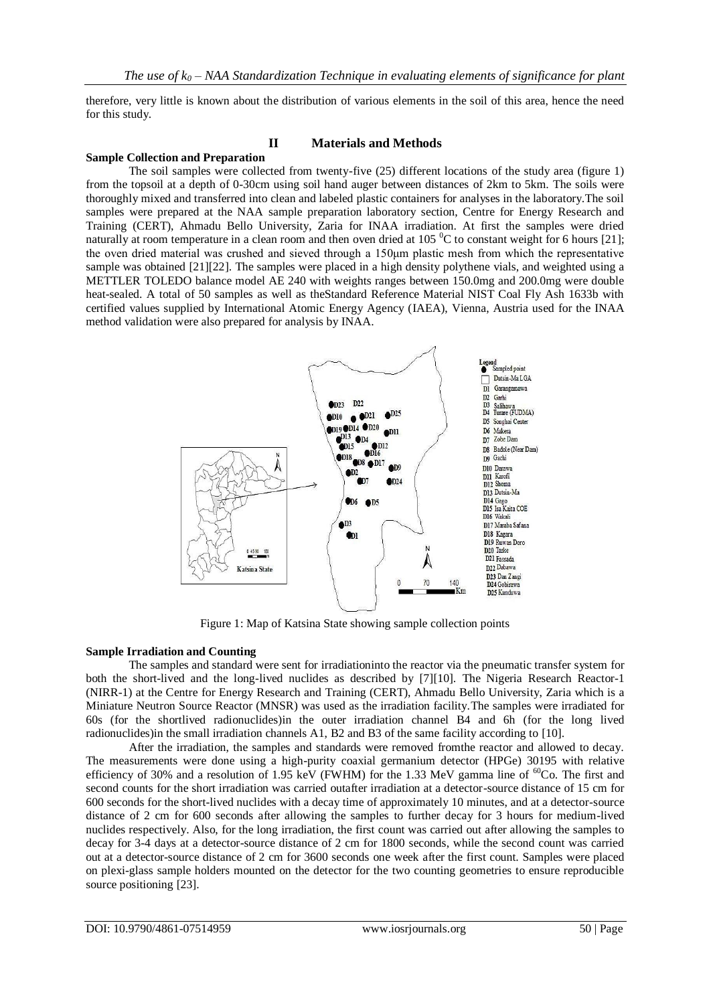therefore, very little is known about the distribution of various elements in the soil of this area, hence the need for this study.

## **II Materials and Methods**

#### **Sample Collection and Preparation**

The soil samples were collected from twenty-five (25) different locations of the study area (figure 1) from the topsoil at a depth of 0-30cm using soil hand auger between distances of 2km to 5km. The soils were thoroughly mixed and transferred into clean and labeled plastic containers for analyses in the laboratory.The soil samples were prepared at the NAA sample preparation laboratory section, Centre for Energy Research and Training (CERT), Ahmadu Bello University, Zaria for INAA irradiation. At first the samples were dried naturally at room temperature in a clean room and then oven dried at 105 $\mathrm{^{6}C}$  to constant weight for 6 hours [21]; the oven dried material was crushed and sieved through a 150μm plastic mesh from which the representative sample was obtained [21][22]. The samples were placed in a high density polythene vials, and weighted using a METTLER TOLEDO balance model AE 240 with weights ranges between 150.0mg and 200.0mg were double heat-sealed. A total of 50 samples as well as theStandard Reference Material NIST Coal Fly Ash 1633b with certified values supplied by International Atomic Energy Agency (IAEA), Vienna, Austria used for the INAA method validation were also prepared for analysis by INAA.



Figure 1: Map of Katsina State showing sample collection points

#### **Sample Irradiation and Counting**

The samples and standard were sent for irradiationinto the reactor via the pneumatic transfer system for both the short-lived and the long-lived nuclides as described by [7][10]. The Nigeria Research Reactor-1 (NIRR-1) at the Centre for Energy Research and Training (CERT), Ahmadu Bello University, Zaria which is a Miniature Neutron Source Reactor (MNSR) was used as the irradiation facility.The samples were irradiated for 60s (for the shortlived radionuclides)in the outer irradiation channel B4 and 6h (for the long lived radionuclides)in the small irradiation channels A1, B2 and B3 of the same facility according to [10].

After the irradiation, the samples and standards were removed fromthe reactor and allowed to decay. The measurements were done using a high-purity coaxial germanium detector (HPGe) 30195 with relative efficiency of 30% and a resolution of 1.95 keV (FWHM) for the 1.33 MeV gamma line of  ${}^{60}Co$ . The first and second counts for the short irradiation was carried outafter irradiation at a detector-source distance of 15 cm for 600 seconds for the short-lived nuclides with a decay time of approximately 10 minutes, and at a detector-source distance of 2 cm for 600 seconds after allowing the samples to further decay for 3 hours for medium-lived nuclides respectively. Also, for the long irradiation, the first count was carried out after allowing the samples to decay for 3-4 days at a detector-source distance of 2 cm for 1800 seconds, while the second count was carried out at a detector-source distance of 2 cm for 3600 seconds one week after the first count. Samples were placed on plexi-glass sample holders mounted on the detector for the two counting geometries to ensure reproducible source positioning [23].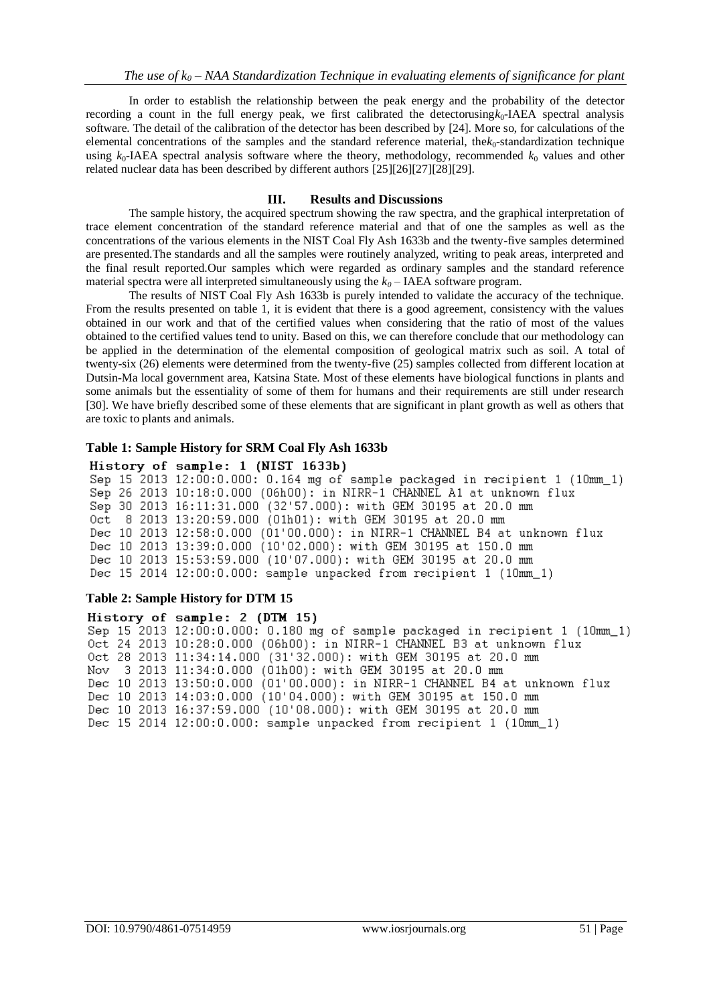In order to establish the relationship between the peak energy and the probability of the detector recording a count in the full energy peak, we first calibrated the detectorusing $k_0$ -IAEA spectral analysis software. The detail of the calibration of the detector has been described by [24]. More so, for calculations of the elemental concentrations of the samples and the standard reference material, the $k_0$ -standardization technique using  $k_0$ -IAEA spectral analysis software where the theory, methodology, recommended  $k_0$  values and other related nuclear data has been described by different authors [25][26][27][28][29].

#### **III. Results and Discussions**

The sample history, the acquired spectrum showing the raw spectra, and the graphical interpretation of trace element concentration of the standard reference material and that of one the samples as well as the concentrations of the various elements in the NIST Coal Fly Ash 1633b and the twenty-five samples determined are presented.The standards and all the samples were routinely analyzed, writing to peak areas, interpreted and the final result reported.Our samples which were regarded as ordinary samples and the standard reference material spectra were all interpreted simultaneously using the  $k_0$  – IAEA software program.

The results of NIST Coal Fly Ash 1633b is purely intended to validate the accuracy of the technique. From the results presented on table 1, it is evident that there is a good agreement, consistency with the values obtained in our work and that of the certified values when considering that the ratio of most of the values obtained to the certified values tend to unity. Based on this, we can therefore conclude that our methodology can be applied in the determination of the elemental composition of geological matrix such as soil. A total of twenty-six (26) elements were determined from the twenty-five (25) samples collected from different location at Dutsin-Ma local government area, Katsina State. Most of these elements have biological functions in plants and some animals but the essentiality of some of them for humans and their requirements are still under research [30]. We have briefly described some of these elements that are significant in plant growth as well as others that are toxic to plants and animals.

#### **Table 1: Sample History for SRM Coal Fly Ash 1633b**

### History of sample: 1 (NIST 1633b)

Sep 15 2013 12:00:0.000: 0.164 mg of sample packaged in recipient 1 (10mm\_1) Sep 26 2013 10:18:0.000 (06h00): in NIRR-1 CHANNEL A1 at unknown flux Sep 30 2013 16:11:31.000 (32'57.000): with GEM 30195 at 20.0 mm Oct 8 2013 13:20:59.000 (01h01): with GEM 30195 at 20.0 mm Dec 10 2013 12:58:0.000 (01'00.000): in NIRR-1 CHANNEL B4 at unknown flux Dec 10 2013 13:39:0.000 (10'02.000): with GEM 30195 at 150.0 mm Dec 10 2013 15:53:59.000 (10'07.000): with GEM 30195 at 20.0 mm Dec 15 2014 12:00:0.000: sample unpacked from recipient 1 (10mm\_1)

#### **Table 2: Sample History for DTM 15**

History of sample: 2 (DTM 15) Sep 15 2013 12:00:0.000: 0.180 mg of sample packaged in recipient 1 (10mm\_1) Oct 24 2013 10:28:0.000 (06h00): in NIRR-1 CHANNEL B3 at unknown flux Oct 28 2013 11:34:14.000 (31'32.000): with GEM 30195 at 20.0 mm Nov 3 2013 11:34:0.000 (01h00): with GEM 30195 at 20.0 mm Dec 10 2013 13:50:0.000 (01'00.000): in NIRR-1 CHANNEL B4 at unknown flux Dec 10 2013 14:03:0.000 (10'04.000): with GEM 30195 at 150.0 mm Dec 10 2013 16:37:59.000 (10'08.000): with GEM 30195 at 20.0 mm Dec 15 2014 12:00:0.000: sample unpacked from recipient 1 (10mm\_1)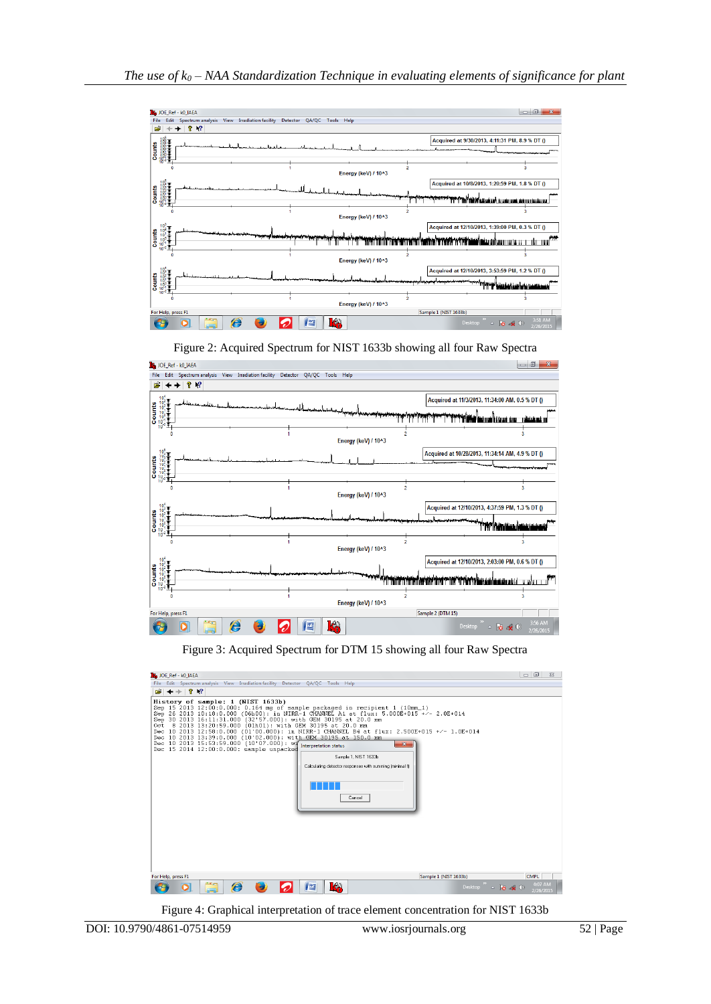

Figure 2: Acquired Spectrum for NIST 1633b showing all four Raw Spectra



Figure 3: Acquired Spectrum for DTM 15 showing all four Raw Spectra



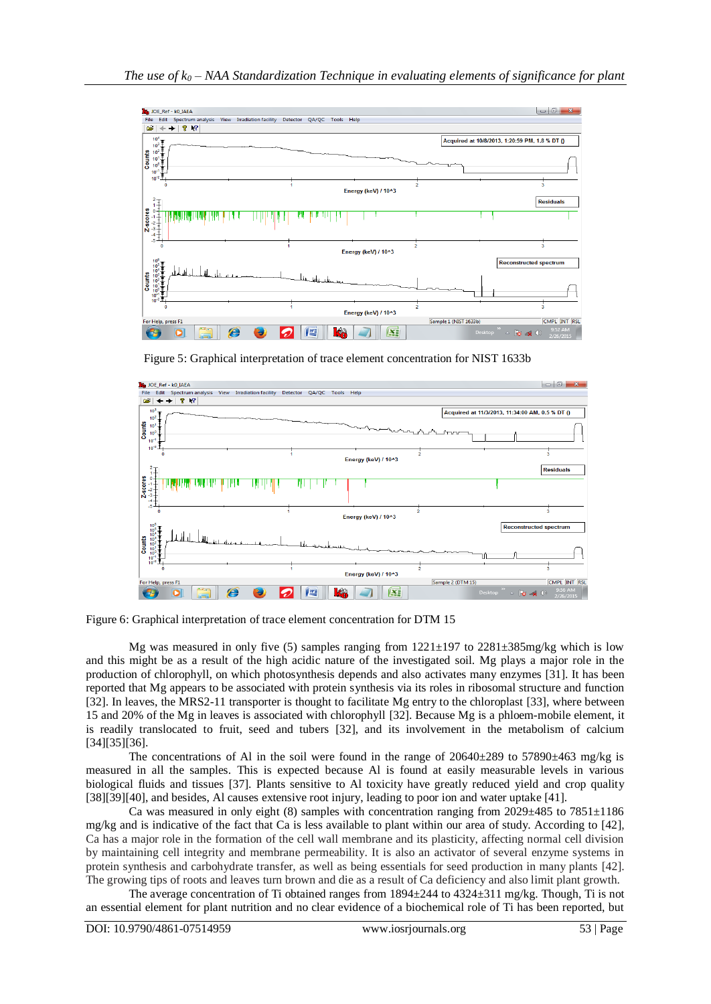

Figure 5: Graphical interpretation of trace element concentration for NIST 1633b



Figure 6: Graphical interpretation of trace element concentration for DTM 15

Mg was measured in only five (5) samples ranging from  $1221\pm197$  to  $2281\pm385$  mg/kg which is low and this might be as a result of the high acidic nature of the investigated soil. Mg plays a major role in the production of chlorophyll, on which photosynthesis depends and also activates many enzymes [31]. It has been reported that Mg appears to be associated with protein synthesis via its roles in ribosomal structure and function [32]. In leaves, the MRS2-11 transporter is thought to facilitate Mg entry to the chloroplast [33], where between 15 and 20% of the Mg in leaves is associated with chlorophyll [32]. Because Mg is a phloem-mobile element, it is readily translocated to fruit, seed and tubers [32], and its involvement in the metabolism of calcium [34][35][36].

The concentrations of Al in the soil were found in the range of  $20640\pm289$  to  $57890\pm463$  mg/kg is measured in all the samples. This is expected because Al is found at easily measurable levels in various biological fluids and tissues [37]. Plants sensitive to Al toxicity have greatly reduced yield and crop quality [38][39][40], and besides, Al causes extensive root injury, leading to poor ion and water uptake [41].

Ca was measured in only eight (8) samples with concentration ranging from  $2029 \pm 485$  to  $7851 \pm 1186$ mg/kg and is indicative of the fact that Ca is less available to plant within our area of study. According to [42], Ca has a major role in the formation of the cell wall membrane and its plasticity, affecting normal cell division by maintaining cell integrity and membrane permeability. It is also an activator of several enzyme systems in protein synthesis and carbohydrate transfer, as well as being essentials for seed production in many plants [42]. The growing tips of roots and leaves turn brown and die as a result of Ca deficiency and also limit plant growth.

The average concentration of Ti obtained ranges from  $1894 \pm 244$  to  $4324 \pm 311$  mg/kg. Though, Ti is not an essential element for plant nutrition and no clear evidence of a biochemical role of Ti has been reported, but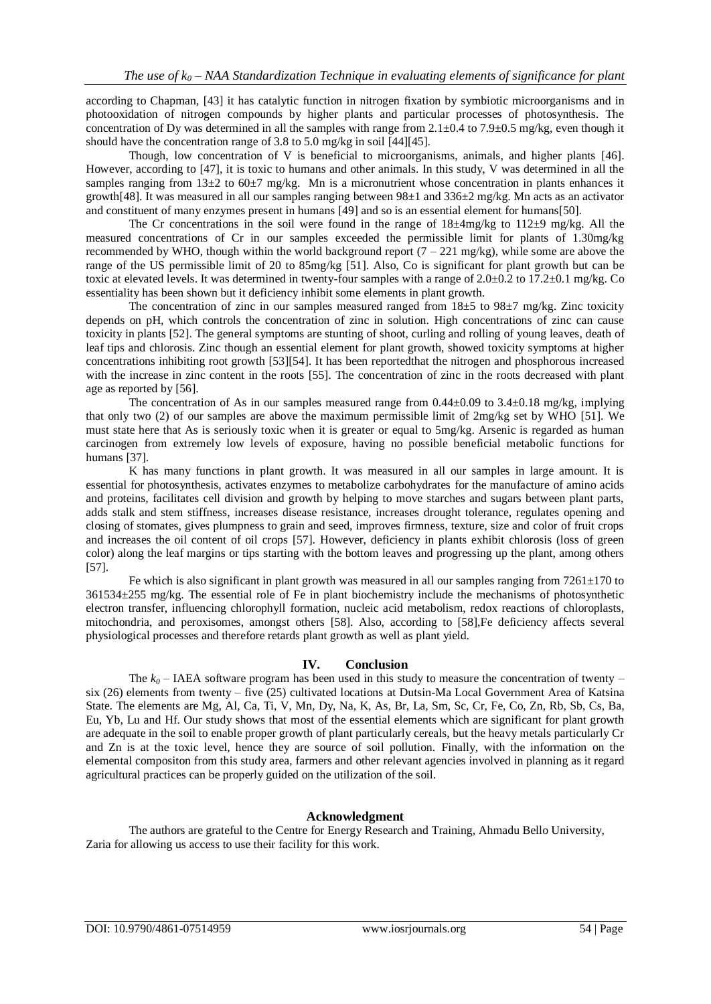according to Chapman, [43] it has catalytic function in nitrogen fixation by symbiotic microorganisms and in photooxidation of nitrogen compounds by higher plants and particular processes of photosynthesis. The concentration of Dy was determined in all the samples with range from  $2.1\pm0.4$  to  $7.9\pm0.5$  mg/kg, even though it should have the concentration range of 3.8 to 5.0 mg/kg in soil [44][45].

Though, low concentration of V is beneficial to microorganisms, animals, and higher plants [46]. However, according to [47], it is toxic to humans and other animals. In this study, V was determined in all the samples ranging from  $13\pm2$  to  $60\pm7$  mg/kg. Mn is a micronutrient whose concentration in plants enhances it growth[48]. It was measured in all our samples ranging between 98±1 and 336±2 mg/kg. Mn acts as an activator and constituent of many enzymes present in humans [49] and so is an essential element for humans[50].

The Cr concentrations in the soil were found in the range of  $18\pm4mg/kg$  to  $112\pm9$  mg/kg. All the measured concentrations of Cr in our samples exceeded the permissible limit for plants of 1.30mg/kg recommended by WHO, though within the world background report  $(7 - 221 \text{ mg/kg})$ , while some are above the range of the US permissible limit of 20 to 85mg/kg [51]. Also, Co is significant for plant growth but can be toxic at elevated levels. It was determined in twenty-four samples with a range of  $2.0\pm0.2$  to  $17.2\pm0.1$  mg/kg. Co essentiality has been shown but it deficiency inhibit some elements in plant growth.

The concentration of zinc in our samples measured ranged from  $18\pm5$  to  $98\pm7$  mg/kg. Zinc toxicity depends on pH, which controls the concentration of zinc in solution. High concentrations of zinc can cause toxicity in plants [52]. The general symptoms are stunting of shoot, curling and rolling of young leaves, death of leaf tips and chlorosis. Zinc though an essential element for plant growth, showed toxicity symptoms at higher concentrations inhibiting root growth [53][54]. It has been reportedthat the nitrogen and phosphorous increased with the increase in zinc content in the roots [55]. The concentration of zinc in the roots decreased with plant age as reported by [56].

The concentration of As in our samples measured range from  $0.44\pm0.09$  to  $3.4\pm0.18$  mg/kg, implying that only two (2) of our samples are above the maximum permissible limit of 2mg/kg set by WHO [51]. We must state here that As is seriously toxic when it is greater or equal to 5mg/kg. Arsenic is regarded as human carcinogen from extremely low levels of exposure, having no possible beneficial metabolic functions for humans [37].

K has many functions in plant growth. It was measured in all our samples in large amount. It is essential for photosynthesis, activates enzymes to metabolize carbohydrates for the manufacture of amino acids and proteins, facilitates cell division and growth by helping to move starches and sugars between plant parts, adds stalk and stem stiffness, increases disease resistance, increases drought tolerance, regulates opening and closing of stomates, gives plumpness to grain and seed, improves firmness, texture, size and color of fruit crops and increases the oil content of oil crops [57]. However, deficiency in plants exhibit chlorosis (loss of green color) along the leaf margins or tips starting with the bottom leaves and progressing up the plant, among others [57].

Fe which is also significant in plant growth was measured in all our samples ranging from  $7261\pm170$  to 361534±255 mg/kg. The essential role of Fe in plant biochemistry include the mechanisms of photosynthetic electron transfer, influencing chlorophyll formation, nucleic acid metabolism, redox reactions of chloroplasts, mitochondria, and peroxisomes, amongst others [58]. Also, according to [58],Fe deficiency affects several physiological processes and therefore retards plant growth as well as plant yield.

### **IV. Conclusion**

The  $k_0$  – IAEA software program has been used in this study to measure the concentration of twenty – six (26) elements from twenty – five (25) cultivated locations at Dutsin-Ma Local Government Area of Katsina State. The elements are Mg, Al, Ca, Ti, V, Mn, Dy, Na, K, As, Br, La, Sm, Sc, Cr, Fe, Co, Zn, Rb, Sb, Cs, Ba, Eu, Yb, Lu and Hf. Our study shows that most of the essential elements which are significant for plant growth are adequate in the soil to enable proper growth of plant particularly cereals, but the heavy metals particularly Cr and Zn is at the toxic level, hence they are source of soil pollution. Finally, with the information on the elemental compositon from this study area, farmers and other relevant agencies involved in planning as it regard agricultural practices can be properly guided on the utilization of the soil.

#### **Acknowledgment**

The authors are grateful to the Centre for Energy Research and Training, Ahmadu Bello University, Zaria for allowing us access to use their facility for this work.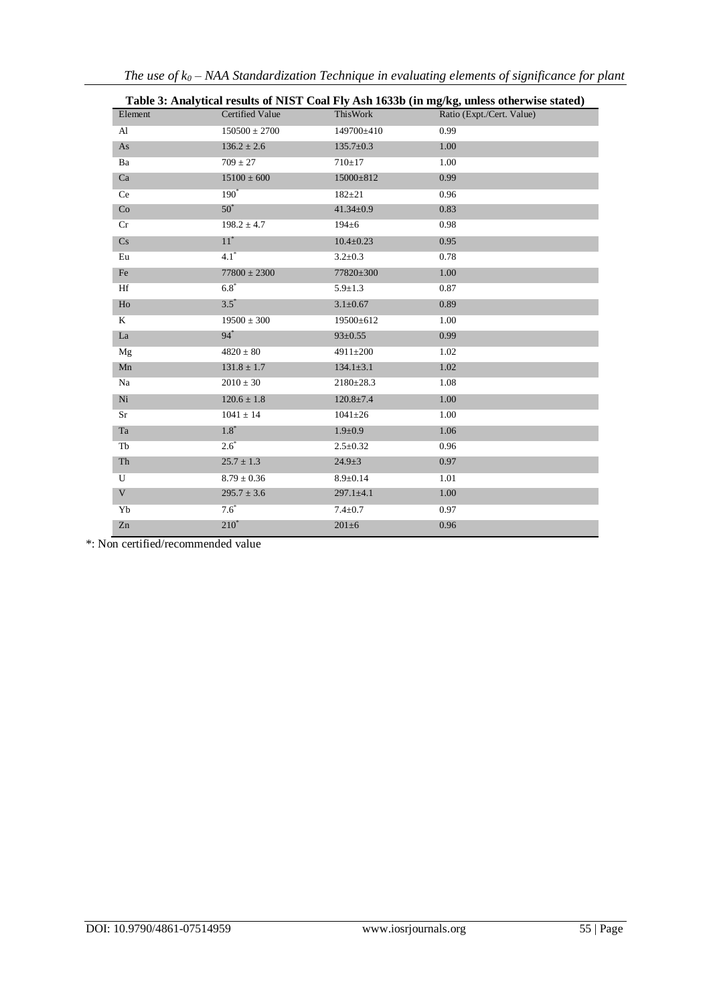| Table 3: Analytical results of NIST Coal Fly Ash 1633b (in mg/kg, unless otherwise stated) |                        |                 |                           |  |
|--------------------------------------------------------------------------------------------|------------------------|-----------------|---------------------------|--|
| Element                                                                                    | <b>Certified Value</b> | ThisWork        | Ratio (Expt./Cert. Value) |  |
| Al                                                                                         | $150500 \pm 2700$      | 149700±410      | 0.99                      |  |
| As                                                                                         | $136.2 \pm 2.6$        | $135.7 \pm 0.3$ | 1.00                      |  |
| Ba                                                                                         | $709 \pm 27$           | $710 + 17$      | 1.00                      |  |
| Ca                                                                                         | $15100 \pm 600$        | 15000±812       | 0.99                      |  |
| Ce                                                                                         | $190^*$                | $182 + 21$      | 0.96                      |  |
| Co                                                                                         | $50^*$                 | $41.34 \pm 0.9$ | 0.83                      |  |
| Cr                                                                                         | $198.2 \pm 4.7$        | $194 \pm 6$     | 0.98                      |  |
| Cs                                                                                         | $11^*$                 | $10.4 \pm 0.23$ | 0.95                      |  |
| Eu                                                                                         | $4.1^*$                | $3.2 \pm 0.3$   | 0.78                      |  |
| Fe                                                                                         | $77800 \pm 2300$       | 77820±300       | 1.00                      |  |
| Hf                                                                                         | $6.8*$                 | $5.9 \pm 1.3$   | 0.87                      |  |
| Ho                                                                                         | $3.5^*$                | $3.1 \pm 0.67$  | 0.89                      |  |
| K                                                                                          | $19500 \pm 300$        | 19500±612       | 1.00                      |  |
| La                                                                                         | $94*$                  | $93 \pm 0.55$   | 0.99                      |  |
| Mg                                                                                         | $4820 \pm 80$          | 4911±200        | 1.02                      |  |
| Mn                                                                                         | $131.8 \pm 1.7$        | $134.1 \pm 3.1$ | 1.02                      |  |
| Na                                                                                         | $2010 \pm 30$          | $2180 \pm 28.3$ | 1.08                      |  |
| $\rm Ni$                                                                                   | $120.6 \pm 1.8$        | $120.8 \pm 7.4$ | 1.00                      |  |
| Sr                                                                                         | $1041 \pm 14$          | $1041 \pm 26$   | 1.00                      |  |
| Ta                                                                                         | $1.8*$                 | $1.9 \pm 0.9$   | 1.06                      |  |
| Tb                                                                                         | $2.6^*$                | $2.5 \pm 0.32$  | 0.96                      |  |
| Th                                                                                         | $25.7 \pm 1.3$         | $24.9 \pm 3$    | 0.97                      |  |
| U                                                                                          | $8.79 \pm 0.36$        | $8.9 \pm 0.14$  | 1.01                      |  |
| $\mathbf V$                                                                                | $295.7 \pm 3.6$        | $297.1 \pm 4.1$ | 1.00                      |  |
| Yb                                                                                         | $7.6*$                 | $7.4 \pm 0.7$   | 0.97                      |  |
| Zn                                                                                         | $210^*$                | $201\pm 6$      | 0.96                      |  |

*The use of k<sup>0</sup> – NAA Standardization Technique in evaluating elements of significance for plant*

\*: Non certified/recommended value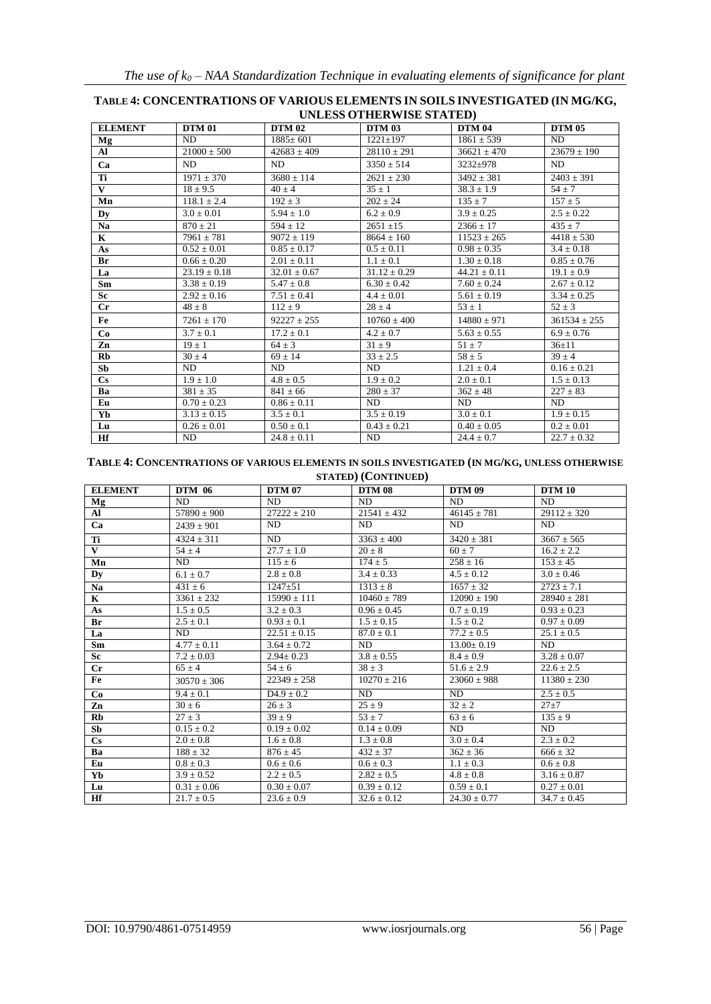| UNLESS OTHERWISE STATED! |                  |                  |                  |                  |                  |
|--------------------------|------------------|------------------|------------------|------------------|------------------|
| <b>ELEMENT</b>           | <b>DTM 01</b>    | <b>DTM 02</b>    | <b>DTM 03</b>    | <b>DTM 04</b>    | <b>DTM 05</b>    |
| Mg                       | ND               | $1885 \pm 601$   | $1221 \pm 197$   | $1861 \pm 539$   | ND               |
| Al                       | $21000 + 500$    | $42683 + 409$    | $28110 \pm 291$  | $36621 \pm 470$  | $23679 \pm 190$  |
| Ca                       | ND               | ND               | $3350 \pm 514$   | 3232±978         | ND               |
| Ti                       | $1971 + 370$     | $3680 + 114$     | $2621 + 230$     | $3492 + 381$     | $2403 + 391$     |
| $\mathbf{V}$             | $18 \pm 9.5$     | $40 \pm 4$       | $35 + 1$         | $38.3 \pm 1.9$   | $54 \pm 7$       |
| Mn                       | $118.1 \pm 2.4$  | $192 \pm 3$      | $202 \pm 24$     | $135 \pm 7$      | $157 \pm 5$      |
| Dy                       | $3.0 \pm 0.01$   | $5.94 \pm 1.0$   | $6.2 \pm 0.9$    | $3.9 \pm 0.25$   | $2.5 \pm 0.22$   |
| Na                       | $870 \pm 21$     | $594 \pm 12$     | $2651 \pm 15$    | $2366 \pm 17$    | $435 \pm 7$      |
| $\mathbf K$              | $7961 \pm 781$   | $9072 + 119$     | $8664 \pm 160$   | $11523 \pm 265$  | $4418 + 530$     |
| As                       | $0.52 \pm 0.01$  | $0.85 + 0.17$    | $0.5 + 0.11$     | $0.98 + 0.35$    | $3.4 \pm 0.18$   |
| Br                       | $0.66 \pm 0.20$  | $2.01 \pm 0.11$  | $1.1 \pm 0.1$    | $1.30 \pm 0.18$  | $0.85 \pm 0.76$  |
| La                       | $23.19 \pm 0.18$ | $32.01 \pm 0.67$ | $31.12 \pm 0.29$ | $44.21 \pm 0.11$ | $19.1 \pm 0.9$   |
| Sm                       | $3.38 \pm 0.19$  | $5.47 \pm 0.8$   | $6.30 \pm 0.42$  | $7.60 \pm 0.24$  | $2.67 \pm 0.12$  |
| <b>Sc</b>                | $2.92 \pm 0.16$  | $7.51 \pm 0.41$  | $4.4 \pm 0.01$   | $5.61 \pm 0.19$  | $3.34 \pm 0.25$  |
| $_{\rm Cr}$              | $48 \pm 8$       | $112 \pm 9$      | $28 \pm 4$       | $53 \pm 1$       | $52 \pm 3$       |
| Fe                       | $7261 \pm 170$   | $92227 \pm 255$  | $10760 \pm 400$  | $14880 \pm 971$  | $361534 \pm 255$ |
| Co                       | $3.7 + 0.1$      | $17.2 + 0.1$     | $4.2 + 0.7$      | $5.63 + 0.55$    | $6.9 + 0.76$     |
| Zn                       | $19 \pm 1$       | $64 + 3$         | $31 \pm 9$       | $51 \pm 7$       | $36 + 11$        |
| Rb                       | $30 \pm 4$       | $69 \pm 14$      | $33 \pm 2.5$     | $58 \pm 5$       | $39 + 4$         |
| Sb                       | ND               | ND               | ND               | $1.21 \pm 0.4$   | $0.16 \pm 0.21$  |
| $\mathbf{C}\mathbf{s}$   | $1.9 \pm 1.0$    | $4.8 \pm 0.5$    | $1.9 \pm 0.2$    | $2.0 \pm 0.1$    | $1.5 \pm 0.13$   |
| Ba                       | $381 \pm 35$     | $841 \pm 66$     | $280 \pm 37$     | $362 \pm 48$     | $227 \pm 83$     |
| Eu                       | $0.70 \pm 0.23$  | $0.86 \pm 0.11$  | ND               | ND               | ND               |
| Yb                       | $3.13 \pm 0.15$  | $3.5 \pm 0.1$    | $3.5 \pm 0.19$   | $3.0 \pm 0.1$    | $1.9 \pm 0.15$   |
| Lu                       | $0.26 \pm 0.01$  | $0.50 \pm 0.1$   | $0.43 \pm 0.21$  | $0.40 \pm 0.05$  | $0.2 \pm 0.01$   |
| Hf                       | ND               | $24.8 \pm 0.11$  | ND               | $24.4 \pm 0.7$   | $22.7 \pm 0.32$  |

#### **TABLE 4: CONCENTRATIONS OF VARIOUS ELEMENTSIN SOILSINVESTIGATED (IN MG/KG, UNLESS OTHERWISE STATED)**

## **TABLE 4: CONCENTRATIONS OF VARIOUS ELEMENTS IN SOILS INVESTIGATED (IN MG/KG, UNLESS OTHERWISE STATED) (CONTINUED)**

| <b>ELEMENT</b>         | <b>DTM 06</b>   | <b>DTM 07</b>    | <b>DTM 08</b>   | <b>DTM 09</b>    | <b>DTM 10</b>   |
|------------------------|-----------------|------------------|-----------------|------------------|-----------------|
| Mg                     | ND.             | ND.              | ND.             | ND.              | ND.             |
| Al                     | $57890 \pm 900$ | $27222 \pm 210$  | $21541 \pm 432$ | $46145 \pm 781$  | $29112 \pm 320$ |
| Ca                     | $2439 \pm 901$  | ND.              | ND.             | <b>ND</b>        | ND.             |
| Ti                     | $4324 \pm 311$  | ND.              | $3363 \pm 400$  | $3420 \pm 381$   | $3667 \pm 565$  |
| V                      | $54 \pm 4$      | $27.7 \pm 1.0$   | $20 \pm 8$      | $60 \pm 7$       | $16.2 \pm 2.2$  |
| Mn                     | ND              | $115 \pm 6$      | $174 \pm 5$     | $258 \pm 16$     | $153 \pm 45$    |
| Dy                     | $6.1 \pm 0.7$   | $2.8 \pm 0.8$    | $3.4 \pm 0.33$  | $4.5 \pm 0.12$   | $3.0 \pm 0.46$  |
| Na                     | $431 + 6$       | $1247 + 51$      | $1313 + 8$      | $1657 + 32$      | $2723 + 7.1$    |
| K                      | $3361 \pm 232$  | $15990 \pm 111$  | $10460 \pm 789$ | $12090 \pm 190$  | $28940 \pm 281$ |
| As                     | $1.5 \pm 0.5$   | $3.2 \pm 0.3$    | $0.96 \pm 0.45$ | $0.7 \pm 0.19$   | $0.93 \pm 0.23$ |
| Br                     | $2.5 \pm 0.1$   | $0.93 \pm 0.1$   | $1.5 \pm 0.15$  | $1.5 \pm 0.2$    | $0.97 \pm 0.09$ |
| La                     | ND.             | $22.51 \pm 0.15$ | $87.0 \pm 0.1$  | $77.2 \pm 0.5$   | $25.1 \pm 0.5$  |
| Sm                     | $4.77 \pm 0.11$ | $3.64 \pm 0.72$  | ND              | $13.00 \pm 0.19$ | ND              |
| Sc                     | $7.2 \pm 0.03$  | $2.94 \pm 0.23$  | $3.8 \pm 0.55$  | $8.4 \pm 0.9$    | $3.28 \pm 0.07$ |
| Cr                     | $65 \pm 4$      | $54 \pm 6$       | $38 \pm 3$      | $51.6 \pm 2.9$   | $22.6 \pm 2.5$  |
| Fe                     | $30570 + 306$   | $22349 \pm 258$  | $10270 + 216$   | $23060 \pm 988$  | $11380 \pm 230$ |
| Co                     | $9.4 \pm 0.1$   | $D4.9 \pm 0.2$   | ND.             | ND.              | $2.5 \pm 0.5$   |
| Zn                     | $30 \pm 6$      | $26 \pm 3$       | $25 \pm 9$      | $32 \pm 2$       | $27 + 7$        |
| Rb                     | $27 \pm 3$      | $39 + 9$         | $53 + 7$        | $63 \pm 6$       | $135 \pm 9$     |
| Sb                     | $0.15 \pm 0.2$  | $0.19 \pm 0.02$  | $0.14 \pm 0.09$ | ND.              | ND              |
| $\mathbf{C}\mathbf{s}$ | $2.0 \pm 0.8$   | $1.6 \pm 0.8$    | $1.3 \pm 0.8$   | $3.0 \pm 0.4$    | $2.3 \pm 0.2$   |
| Ba                     | $188 \pm 32$    | $876 \pm 45$     | $432 \pm 37$    | $362 \pm 36$     | $666 \pm 32$    |
| Eu                     | $0.8 \pm 0.3$   | $0.6 \pm 0.6$    | $0.6 \pm 0.3$   | $1.1 \pm 0.3$    | $0.6 \pm 0.8$   |
| Yb                     | $3.9 \pm 0.52$  | $2.2 \pm 0.5$    | $2.82 \pm 0.5$  | $4.8 \pm 0.8$    | $3.16 \pm 0.87$ |
| Lu                     | $0.31 \pm 0.06$ | $0.30 \pm 0.07$  | $0.39 \pm 0.12$ | $0.59 \pm 0.1$   | $0.27 \pm 0.01$ |
| Hf                     | $21.7 \pm 0.5$  | $23.6 \pm 0.9$   | $32.6 \pm 0.12$ | $24.30 \pm 0.77$ | $34.7 \pm 0.45$ |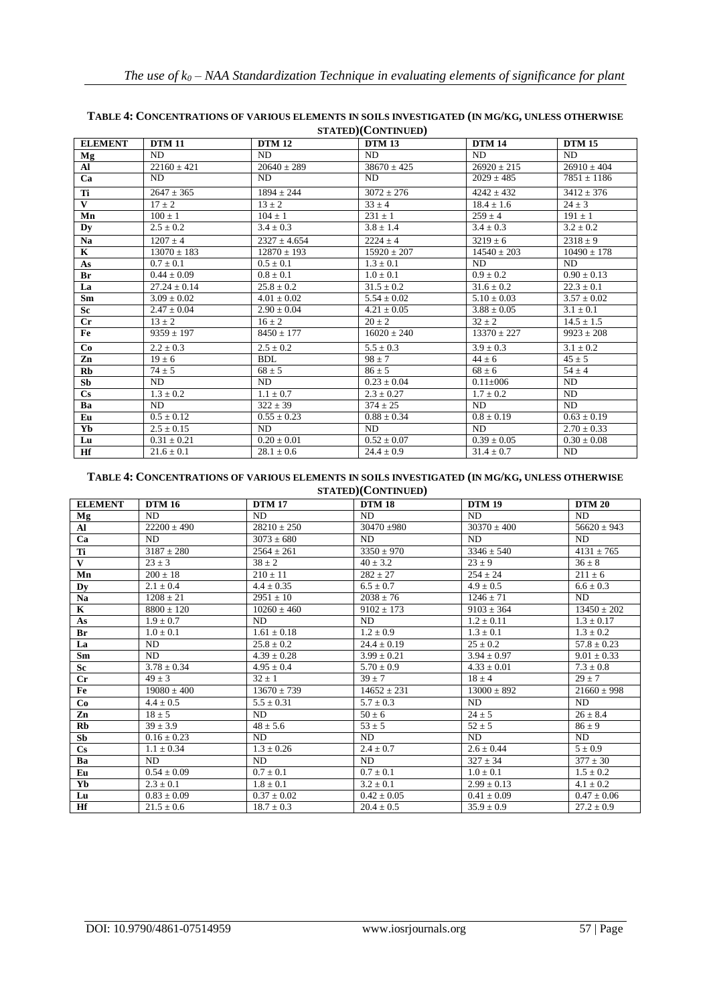| <b>ELEMENT</b>         | <b>DTM 11</b>    | <b>DTM 12</b>    | <b>DTM 13</b>   | <b>DTM 14</b>   | <b>DTM 15</b>   |
|------------------------|------------------|------------------|-----------------|-----------------|-----------------|
| Mg                     | ND.              | ND.              | ND.             | ND.             | ND.             |
| Al                     | $22160 \pm 421$  | $20640 \pm 289$  | $38670 \pm 425$ | $26920 + 215$   | $26910 \pm 404$ |
| Ca                     | ND.              | ND.              | ND.             | $2029 \pm 485$  | $7851 \pm 1186$ |
| Ti                     | $2647 \pm 365$   | $1894 + 244$     | $3072 \pm 276$  | $4242 \pm 432$  | $3412 \pm 376$  |
| $\mathbf{V}$           | $17 + 2$         | $13 + 2$         | $33 \pm 4$      | $18.4 + 1.6$    | $24 + 3$        |
| Mn                     | $100 \pm 1$      | $104 \pm 1$      | $231 \pm 1$     | $259 \pm 4$     | $191 \pm 1$     |
| Dv                     | $2.5 \pm 0.2$    | $3.4 \pm 0.3$    | $3.8 \pm 1.4$   | $3.4 \pm 0.3$   | $3.2 \pm 0.2$   |
| <b>Na</b>              | $1207 \pm 4$     | $2327 \pm 4.654$ | $2224 + 4$      | $3219 \pm 6$    | $2318 \pm 9$    |
| $\mathbf{K}$           | $13070 \pm 183$  | $12870 \pm 193$  | $15920 \pm 207$ | $14540 \pm 203$ | $10490 \pm 178$ |
| As                     | $0.7 \pm 0.1$    | $0.5 \pm 0.1$    | $1.3 \pm 0.1$   | ND.             | ND.             |
| Br                     | $0.44 + 0.09$    | $0.8 \pm 0.1$    | $1.0 \pm 0.1$   | $0.9 + 0.2$     | $0.90 + 0.13$   |
| La                     | $27.24 \pm 0.14$ | $25.8 \pm 0.2$   | $31.5 \pm 0.2$  | $31.6 \pm 0.2$  | $22.3 \pm 0.1$  |
| Sm                     | $3.09 \pm 0.02$  | $4.01 \pm 0.02$  | $5.54 \pm 0.02$ | $5.10 \pm 0.03$ | $3.57 \pm 0.02$ |
| Sc                     | $2.47 + 0.04$    | $2.90 \pm 0.04$  | $4.21 \pm 0.05$ | $3.88 \pm 0.05$ | $3.1 \pm 0.1$   |
| $_{\rm Cr}$            | $13 \pm 2$       | $16 \pm 2$       | $20 \pm 2$      | $32 \pm 2$      | $14.5 \pm 1.5$  |
| Fe                     | $9359 \pm 197$   | $8450 \pm 177$   | $16020 \pm 240$ | $13370 \pm 227$ | $9923 \pm 208$  |
| Co                     | $2.2 \pm 0.3$    | $2.5 \pm 0.2$    | $5.5 \pm 0.3$   | $3.9 \pm 0.3$   | $3.1 \pm 0.2$   |
| Zn                     | $19 \pm 6$       | BDL.             | $98 + 7$        | $44 + 6$        | $45 \pm 5$      |
| Rb                     | $74 + 5$         | $68 + 5$         | $86 + 5$        | $68 \pm 6$      | $54 \pm 4$      |
| Sb                     | ND               | ND               | $0.23 \pm 0.04$ | $0.11 \pm 0.06$ | ND              |
| $\mathbf{C}\mathbf{s}$ | $1.3 \pm 0.2$    | $1.1 \pm 0.7$    | $2.3 \pm 0.27$  | $1.7 \pm 0.2$   | ND              |
| Ba                     | ND.              | $322 \pm 39$     | $374 \pm 25$    | ND.             | ND.             |
| Eu                     | $0.5 \pm 0.12$   | $0.55 \pm 0.23$  | $0.88 \pm 0.34$ | $0.8 \pm 0.19$  | $0.63 \pm 0.19$ |
| Yb                     | $2.5 \pm 0.15$   | ND.              | ND.             | ND.             | $2.70 \pm 0.33$ |
| Lu                     | $0.31 \pm 0.21$  | $0.20 \pm 0.01$  | $0.52 \pm 0.07$ | $0.39 \pm 0.05$ | $0.30 \pm 0.08$ |
| Hf                     | $21.6 \pm 0.1$   | $28.1 \pm 0.6$   | $24.4 \pm 0.9$  | $31.4 \pm 0.7$  | ND              |

#### **TABLE 4: CONCENTRATIONS OF VARIOUS ELEMENTS IN SOILS INVESTIGATED (IN MG/KG, UNLESS OTHERWISE STATED)(CONTINUED)**

#### **TABLE 4: CONCENTRATIONS OF VARIOUS ELEMENTS IN SOILS INVESTIGATED (IN MG/KG, UNLESS OTHERWISE STATED)(CONTINUED)**

| <b>ELEMENT</b>         | <b>DTM 16</b>   | <b>DTM 17</b>   | <b>DTM 18</b>   | <b>DTM 19</b>   | <b>DTM 20</b>   |
|------------------------|-----------------|-----------------|-----------------|-----------------|-----------------|
| Mg                     | ND.             | ND.             | ND.             | ND.             | ND.             |
| Al                     | $22200 \pm 490$ | $28210 \pm 250$ | $30470 \pm 980$ | $30370 \pm 400$ | $56620 \pm 943$ |
| Ca                     | ND.             | $3073 + 680$    | ND.             | ND.             | ND.             |
| Ti                     | $3187 \pm 280$  | $2564 \pm 261$  | $3350 \pm 970$  | $3346 \pm 540$  | $4131 \pm 765$  |
| $\mathbf{V}$           | $23 + 3$        | $38 + 2$        | $40 + 3.2$      | $23 + 9$        | $36 \pm 8$      |
| Mn                     | $200 \pm 18$    | $210 \pm 11$    | $282 \pm 27$    | $254 \pm 24$    | $211 \pm 6$     |
| Dv                     | $2.1 \pm 0.4$   | $4.4 \pm 0.35$  | $6.5 \pm 0.7$   | $4.9 \pm 0.5$   | $6.6 \pm 0.3$   |
| Na                     | $1208 + 21$     | $2951 \pm 10$   | $2038 + 76$     | $1246 + 71$     | ND.             |
| $\mathbf K$            | $8800 \pm 120$  | $10260 \pm 460$ | $9102 \pm 173$  | $9103 \pm 364$  | $13450 \pm 202$ |
| As                     | $1.9 \pm 0.7$   | ND.             | ND.             | $1.2 \pm 0.11$  | $1.3 \pm 0.17$  |
| Br                     | $1.0 \pm 0.1$   | $1.61 + 0.18$   | $1.2 + 0.9$     | $1.3 \pm 0.1$   | $1.3 \pm 0.2$   |
| La                     | ND              | $25.8 \pm 0.2$  | $24.4 \pm 0.19$ | $25 \pm 0.2$    | $57.8 \pm 0.23$ |
| Sm                     | ND.             | $4.39 + 0.28$   | $3.99 + 0.21$   | $3.94 + 0.97$   | $9.01 \pm 0.33$ |
| Sc                     | $3.78 + 0.34$   | $4.95 \pm 0.4$  | $5.70 \pm 0.9$  | $4.33 \pm 0.01$ | $7.3 \pm 0.8$   |
| $_{\rm Cr}$            | $49 \pm 3$      | $32 \pm 1$      | $39 \pm 7$      | $18 \pm 4$      | $29 \pm 7$      |
| Fe                     | $19080 \pm 400$ | $13670 \pm 739$ | $14652 \pm 231$ | $13000 \pm 892$ | $21660 \pm 998$ |
| Co                     | $4.4 \pm 0.5$   | $5.5 + 0.31$    | $5.7 \pm 0.3$   | ND.             | ND.             |
| Zn                     | $18 \pm 5$      | ND.             | $50 \pm 6$      | $24 + 5$        | $26 + 8.4$      |
| Rb                     | $39 \pm 3.9$    | $48 \pm 5.6$    | $53 \pm 5$      | $52 \pm 5$      | $86 \pm 9$      |
| Sb                     | $0.16 \pm 0.23$ | ND.             | ND.             | ND.             | ND.             |
| $\mathbf{C}\mathbf{s}$ | $1.1 \pm 0.34$  | $1.3 + 0.26$    | $2.4 + 0.7$     | $2.6 + 0.44$    | $5 \pm 0.9$     |
| Ba                     | ND.             | ND.             | ND.             | $327 + 34$      | $377 \pm 30$    |
| Eu                     | $0.54 \pm 0.09$ | $0.7 \pm 0.1$   | $0.7 \pm 0.1$   | $1.0 \pm 0.1$   | $1.5 \pm 0.2$   |
| Yb                     | $2.3 + 0.1$     | $1.8 + 0.1$     | $3.2 + 0.1$     | $2.99 + 0.13$   | $4.1 \pm 0.2$   |
| Lu                     | $0.83 \pm 0.09$ | $0.37 \pm 0.02$ | $0.42 \pm 0.05$ | $0.41 \pm 0.09$ | $0.47 \pm 0.06$ |
| Hf                     | $21.5 \pm 0.6$  | $18.7 \pm 0.3$  | $20.4 \pm 0.5$  | $35.9 \pm 0.9$  | $27.2 \pm 0.9$  |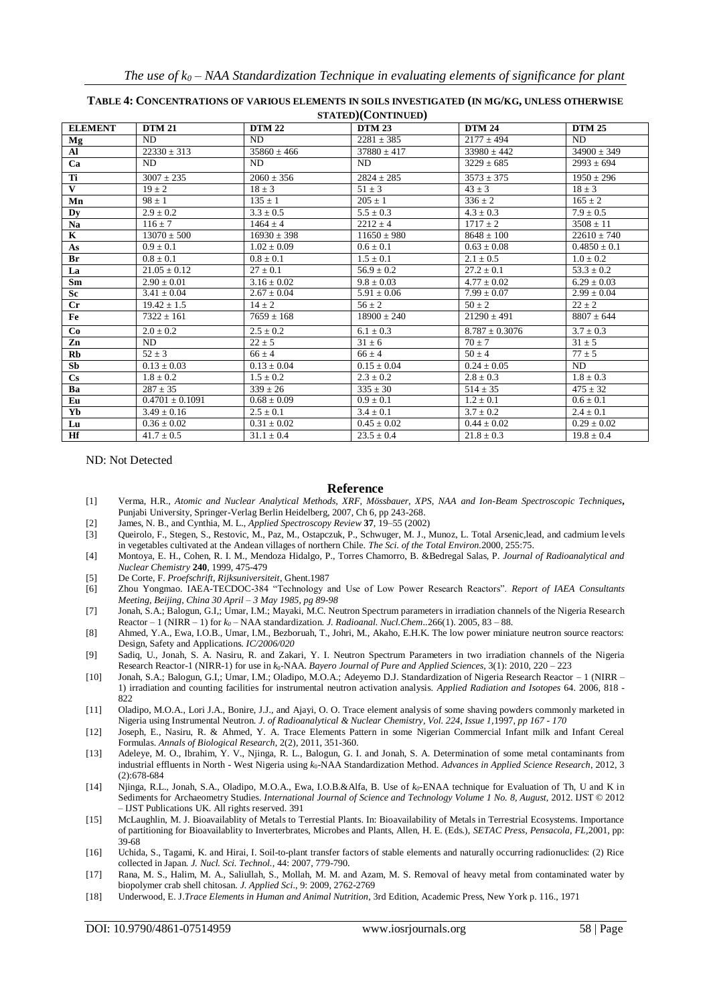| <b>ELEMENT</b>         | <b>DTM 21</b>       | <b>DTM 22</b>   | <b>DTM 23</b>   | <b>DTM 24</b>      | <b>DTM 25</b>    |  |
|------------------------|---------------------|-----------------|-----------------|--------------------|------------------|--|
| Mg                     | <b>ND</b>           | ND.             | $2281 \pm 385$  | $2177 \pm 494$     | <b>ND</b>        |  |
| Al                     | $22330 \pm 313$     | $35860 \pm 466$ | $37880 \pm 417$ | $33980 \pm 442$    | $34900 \pm 349$  |  |
| Ca                     | ND.                 | ND              | ND              | $3229 \pm 685$     | $2993 \pm 694$   |  |
| Ti                     | $3007 + 235$        | $2060 + 356$    | $2824 \pm 285$  | $3573 \pm 375$     | $1950 \pm 296$   |  |
| $\mathbf{V}$           | $19 \pm 2$          | $18 \pm 3$      | $51 \pm 3$      | $43 \pm 3$         | $18 \pm 3$       |  |
| Mn                     | $98 \pm 1$          | $135 \pm 1$     | $205 \pm 1$     | $336 \pm 2$        | $165 \pm 2$      |  |
| Dy                     | $2.9 \pm 0.2$       | $3.3 \pm 0.5$   | $5.5 \pm 0.3$   | $4.3 \pm 0.3$      | $7.9 \pm 0.5$    |  |
| Na                     | $116 \pm 7$         | $1464 \pm 4$    | $2212 \pm 4$    | $1717 \pm 2$       | $3508 \pm 11$    |  |
| $\mathbf K$            | $13070 \pm 500$     | $16930 \pm 398$ | $11650 \pm 980$ | $8648 \pm 100$     | $22610 \pm 740$  |  |
| As                     | $0.9 \pm 0.1$       | $1.02 \pm 0.09$ | $0.6 \pm 0.1$   | $0.63 \pm 0.08$    | $0.4850 \pm 0.1$ |  |
| Br                     | $0.8 \pm 0.1$       | $0.8 \pm 0.1$   | $1.5 \pm 0.1$   | $2.1 \pm 0.5$      | $1.0 \pm 0.2$    |  |
| La                     | $21.05 \pm 0.12$    | $27 \pm 0.1$    | $56.9 \pm 0.2$  | $27.2 \pm 0.1$     | $53.3 \pm 0.2$   |  |
| Sm                     | $2.90 \pm 0.01$     | $3.16 \pm 0.02$ | $9.8 \pm 0.03$  | $4.77 \pm 0.02$    | $6.29 \pm 0.03$  |  |
| <b>Sc</b>              | $3.41 \pm 0.04$     | $2.67 \pm 0.04$ | $5.91 \pm 0.06$ | $7.99 \pm 0.07$    | $2.99 \pm 0.04$  |  |
| $_{\rm Cr}$            | $19.42 \pm 1.5$     | $14 \pm 2$      | $56 \pm 2$      | $50 \pm 2$         | $22 \pm 2$       |  |
| Fe                     | $7322 \pm 161$      | $7659 \pm 168$  | $18900 + 240$   | $21290 \pm 491$    | $8807 \pm 644$   |  |
| Co                     | $2.0 \pm 0.2$       | $2.5 \pm 0.2$   | $6.1 \pm 0.3$   | $8.787 \pm 0.3076$ | $3.7 \pm 0.3$    |  |
| Zn                     | ND.                 | $22 + 5$        | $31 \pm 6$      | $70 \pm 7$         | $31 \pm 5$       |  |
| Rb                     | $52 + 3$            | $66 + 4$        | $66 \pm 4$      | $50 + 4$           | $77 \pm 5$       |  |
| Sb                     | $0.13 \pm 0.03$     | $0.13 \pm 0.04$ | $0.15 \pm 0.04$ | $0.24 \pm 0.05$    | ND               |  |
| $\mathbf{C}\mathbf{s}$ | $1.8 \pm 0.2$       | $1.5 \pm 0.2$   | $2.3 \pm 0.2$   | $2.8 \pm 0.3$      | $1.8 \pm 0.3$    |  |
| Ba                     | $287 \pm 35$        | $339 \pm 26$    | $335 \pm 30$    | $514 \pm 35$       | $475 \pm 32$     |  |
| Eu                     | $0.4701 \pm 0.1091$ | $0.68 \pm 0.09$ | $0.9 \pm 0.1$   | $1.2 \pm 0.1$      | $0.6 \pm 0.1$    |  |
| Yb                     | $3.49 \pm 0.16$     | $2.5 \pm 0.1$   | $3.4 \pm 0.1$   | $3.7 \pm 0.2$      | $2.4 \pm 0.1$    |  |
| Lu                     | $0.36 \pm 0.02$     | $0.31 + 0.02$   | $0.45 \pm 0.02$ | $0.44 \pm 0.02$    | $0.29 \pm 0.02$  |  |
| Hf                     | $41.7 \pm 0.5$      | $31.1 \pm 0.4$  | $23.5 \pm 0.4$  | $21.8 \pm 0.3$     | $19.8 \pm 0.4$   |  |

#### **TABLE 4: CONCENTRATIONS OF VARIOUS ELEMENTS IN SOILS INVESTIGATED (IN MG/KG, UNLESS OTHERWISE STATED)(CONTINUED)**

ND: Not Detected

#### **Reference**

- [1] Verma, H.R., *Atomic and Nuclear Analytical Methods, XRF, Mössbauer, XPS, NAA and Ion-Beam Spectroscopic Techniques***,**  Punjabi University, Springer-Verlag Berlin Heidelberg, 2007, Ch 6, pp 243-268.
- [2] James, N. B., and Cynthia, M. L., *Applied Spectroscopy Review* **37**, 19–55 (2002)
- [3] Queirolo, F., Stegen, S., Restovic, M., Paz, M., Ostapczuk, P., Schwuger, M. J., Munoz, L. Total Arsenic,lead, and cadmium levels in vegetables cultivated at the Andean villages of northern Chile. *The Sci. of the Total Environ.*2000, 255:75.
- [4] Montoya, E. H., Cohen, R. I. M., Mendoza Hidalgo, P., Torres Chamorro, B. &Bedregal Salas, P. *Journal of Radioanalytical and Nuclear Chemistry* **240**, 1999, 475-479
- [5] De Corte, F. *Proefschrift, Rijksuniversiteit*, Ghent.1987
- [6] Zhou Yongmao. IAEA-TECDOC-384 "Technology and Use of Low Power Research Reactors". *Report of IAEA Consultants Meeting, Beijing, China 30 April – 3 May 1985, pg 89-98*
- [7] Jonah, S.A.; Balogun, G.I,; Umar, I.M.; Mayaki, M.C. Neutron Spectrum parameters in irradiation channels of the Nigeria Research Reactor – 1 (NIRR – 1) for *k<sup>0</sup>* – NAA standardization. *J. Radioanal. Nucl.Chem..*266(1). 2005, 83 – 88.
- [8] Ahmed, Y.A., Ewa, I.O.B., Umar, I.M., Bezboruah, T., Johri, M., Akaho, E.H.K. The low power miniature neutron source reactors: Design, Safety and Applications. *IC/2006/020*
- [9] Sadiq, U., Jonah, S. A. Nasiru, R. and Zakari, Y. I. Neutron Spectrum Parameters in two irradiation channels of the Nigeria Research Reactor-1 (NIRR-1) for use in *k*0-NAA. *Bayero Journal of Pure and Applied Sciences*, 3(1): 2010, 220 – 223
- [10] Jonah, S.A.; Balogun, G.I,; Umar, I.M.; Oladipo, M.O.A.; Adeyemo D.J. Standardization of Nigeria Research Reactor 1 (NIRR 1) irradiation and counting facilities for instrumental neutron activation analysis. *Applied Radiation and Isotopes* 64. 2006, 818 - 822
- [11] Oladipo, M.O.A., Lori J.A., Bonire, J.J., and Ajayi, O. O. Trace element analysis of some shaving powders commonly marketed in Nigeria using Instrumental Neutron. *J. of Radioanalytical & Nuclear Chemistry, Vol. 224, Issue 1,*1997, *pp 167 - 170*
- [12] Joseph, E., Nasiru, R. & Ahmed, Y. A. Trace Elements Pattern in some Nigerian Commercial Infant milk and Infant Cereal Formulas. *Annals of Biological Research*, 2(2), 2011, 351-360.
- [13] Adeleye, M. O., Ibrahim, Y. V., Njinga, R. L., Balogun, G. I. and Jonah, S. A. Determination of some metal contaminants from industrial effluents in North - West Nigeria using *k*0-NAA Standardization Method. *Advances in Applied Science Research*, 2012, 3 (2):678-684
- [14] Njinga, R.L., Jonah, S.A., Oladipo, M.O.A., Ewa, I.O.B.&Alfa, B. Use of *k0*-ENAA technique for Evaluation of Th, U and K in Sediments for Archaeometry Studies. *International Journal of Science and Technology Volume 1 No. 8, August,* 2012. IJST © 2012 – IJST Publications UK. All rights reserved. 391
- [15] McLaughlin, M. J. Bioavailablity of Metals to Terrestial Plants. In: Bioavailability of Metals in Terrestrial Ecosystems. Importance of partitioning for Bioavailablity to Inverterbrates, Microbes and Plants, Allen, H. E. (Eds.), *SETAC Press, Pensacola, FL,*2001, pp: 39-68
- [16] Uchida, S., Tagami, K. and Hirai, I. Soil-to-plant transfer factors of stable elements and naturally occurring radionuclides: (2) Rice collected in Japan. *J. Nucl. Sci. Technol.,* 44: 2007, 779-790.
- [17] Rana, M. S., Halim, M. A., Saliullah, S., Mollah, M. M. and Azam, M. S. Removal of heavy metal from contaminated water by biopolymer crab shell chitosan. *J. Applied Sci*., 9: 2009, 2762-2769
- [18] Underwood, E. J.*Trace Elements in Human and Animal Nutrition*, 3rd Edition, Academic Press, New York p. 116., 1971